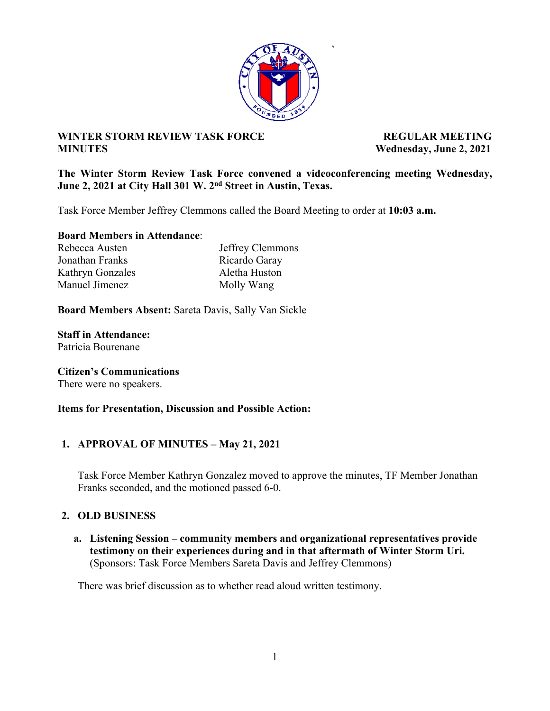

**`** 

# **WINTER STORM REVIEW TASK FORCE ALL PROPERTY REGULAR MEETING MINUTES Wednesday, June 2, 2021**

**The Winter Storm Review Task Force convened a videoconferencing meeting Wednesday, June 2, 2021 at City Hall 301 W. 2nd Street in Austin, Texas.** 

Task Force Member Jeffrey Clemmons called the Board Meeting to order at **10:03 a.m.** 

**Board Members in Attendance**:

| Rebecca Austen   | Jeffrey Clemmons |
|------------------|------------------|
| Jonathan Franks  | Ricardo Garay    |
| Kathryn Gonzales | Aletha Huston    |
| Manuel Jimenez   | Molly Wang       |

**Board Members Absent:** Sareta Davis, Sally Van Sickle

**Staff in Attendance:** 

Patricia Bourenane

#### **Citizen's Communications**

There were no speakers.

### **Items for Presentation, Discussion and Possible Action:**

### **1. APPROVAL OF MINUTES – May 21, 2021**

Task Force Member Kathryn Gonzalez moved to approve the minutes, TF Member Jonathan Franks seconded, and the motioned passed 6-0.

### **2. OLD BUSINESS**

**a. Listening Session – community members and organizational representatives provide testimony on their experiences during and in that aftermath of Winter Storm Uri.** (Sponsors: Task Force Members Sareta Davis and Jeffrey Clemmons)

There was brief discussion as to whether read aloud written testimony.